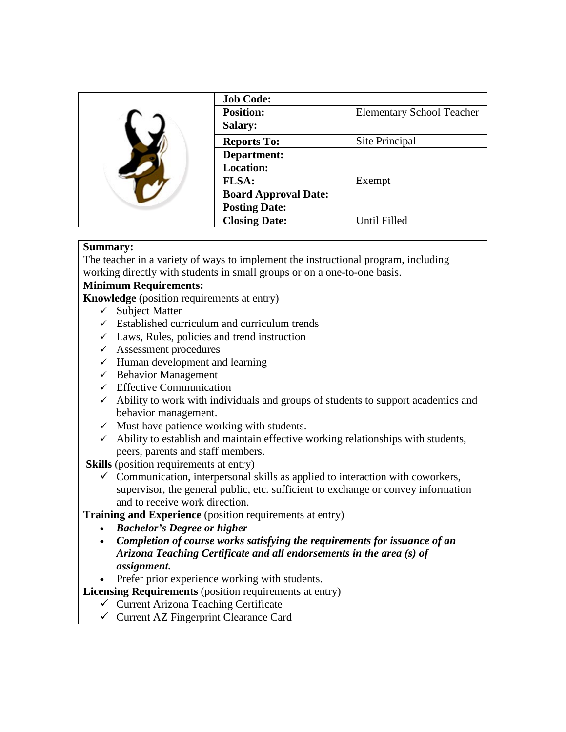|  | <b>Job Code:</b>            |                                  |
|--|-----------------------------|----------------------------------|
|  | <b>Position:</b>            | <b>Elementary School Teacher</b> |
|  | <b>Salary:</b>              |                                  |
|  | <b>Reports To:</b>          | Site Principal                   |
|  | Department:                 |                                  |
|  | <b>Location:</b>            |                                  |
|  | <b>FLSA:</b>                | Exempt                           |
|  | <b>Board Approval Date:</b> |                                  |
|  | <b>Posting Date:</b>        |                                  |
|  | <b>Closing Date:</b>        | Until Filled                     |

### **Summary:**

The teacher in a variety of ways to implement the instructional program, including working directly with students in small groups or on a one-to-one basis.

### **Minimum Requirements:**

**Knowledge** (position requirements at entry)

- $\checkmark$  Subject Matter
- $\checkmark$  Established curriculum and curriculum trends
- $\checkmark$  Laws, Rules, policies and trend instruction
- $\checkmark$  Assessment procedures
- $\checkmark$  Human development and learning
- $\checkmark$  Behavior Management
- $\checkmark$  Effective Communication
- $\checkmark$  Ability to work with individuals and groups of students to support academics and behavior management.
- $\checkmark$  Must have patience working with students.
- $\checkmark$  Ability to establish and maintain effective working relationships with students, peers, parents and staff members.

**Skills** (position requirements at entry)

 $\checkmark$  Communication, interpersonal skills as applied to interaction with coworkers, supervisor, the general public, etc. sufficient to exchange or convey information and to receive work direction.

**Training and Experience** (position requirements at entry)

- *Bachelor's Degree or higher*
- *Completion of course works satisfying the requirements for issuance of an Arizona Teaching Certificate and all endorsements in the area (s) of assignment.*

• Prefer prior experience working with students.

**Licensing Requirements** (position requirements at entry)

## $\checkmark$  Current Arizona Teaching Certificate

 $\checkmark$  Current AZ Fingerprint Clearance Card